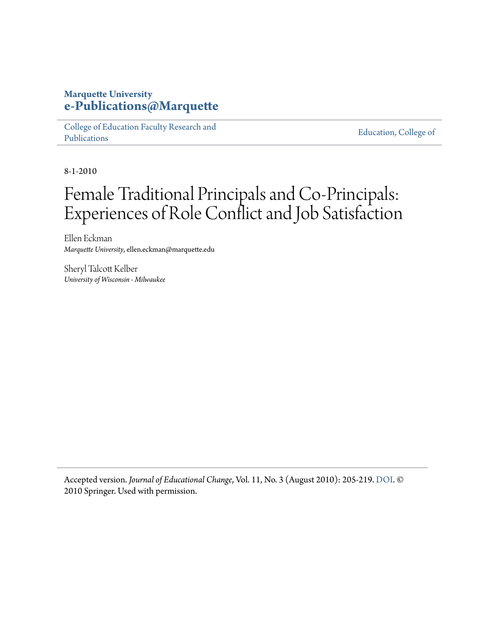## **Marquette University [e-Publications@Marquette](https://epublications.marquette.edu)**

[College of Education Faculty Research and](https://epublications.marquette.edu/edu_fac) [Publications](https://epublications.marquette.edu/edu_fac)

[Education, College of](https://epublications.marquette.edu/education)

8-1-2010

# Female Traditional Principals and Co-Principals: Experiences of Role Conflict and Job Satisfaction

Ellen Eckman *Marquette University*, ellen.eckman@marquette.edu

Sheryl Talcott Kelber *University of Wisconsin - Milwaukee*

Accepted version. *Journal of Educational Change*, Vol. 11, No. 3 (August 2010): 205-219. [DOI](http://dx.doi.org/10.1007/s10833-009-9116-z). © 2010 Springer. Used with permission.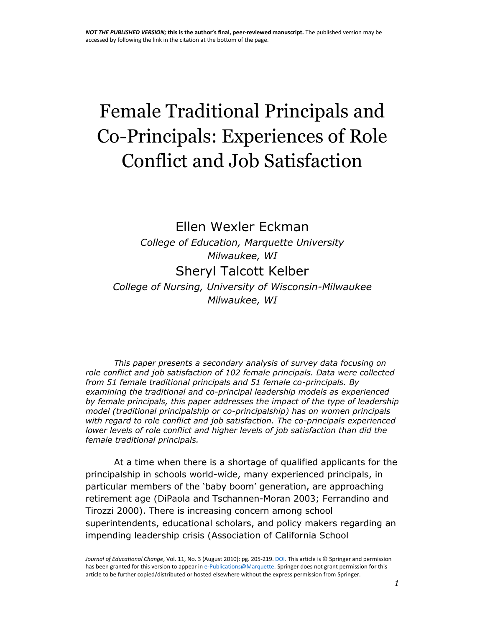# Female Traditional Principals and Co-Principals: Experiences of Role Conflict and Job Satisfaction

# Ellen Wexler Eckman *College of Education, Marquette University Milwaukee, WI* Sheryl Talcott Kelber

*College of Nursing, University of Wisconsin-Milwaukee Milwaukee, WI*

*This paper presents a secondary analysis of survey data focusing on role conflict and job satisfaction of 102 female principals. Data were collected from 51 female traditional principals and 51 female co-principals. By examining the traditional and co-principal leadership models as experienced by female principals, this paper addresses the impact of the type of leadership model (traditional principalship or co-principalship) has on women principals with regard to role conflict and job satisfaction. The co-principals experienced lower levels of role conflict and higher levels of job satisfaction than did the female traditional principals.* 

At a time when there is a shortage of qualified applicants for the principalship in schools world-wide, many experienced principals, in particular members of the 'baby boom' generation, are approaching retirement age (DiPaola and Tschannen-Moran 2003; Ferrandino and Tirozzi 2000). There is increasing concern among school superintendents, educational scholars, and policy makers regarding an impending leadership crisis (Association of California School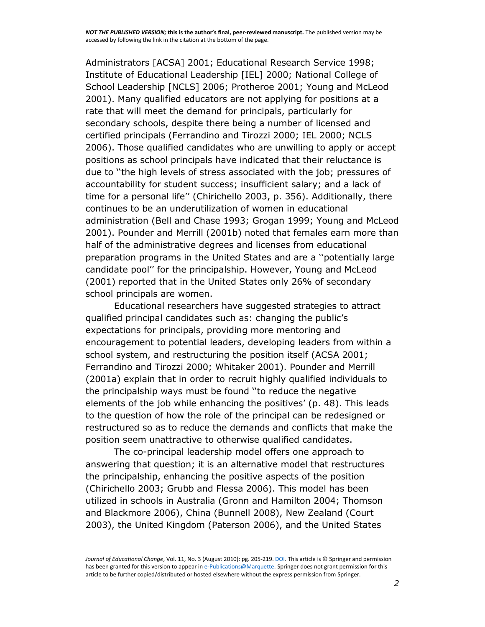Administrators [ACSA] 2001; Educational Research Service 1998; Institute of Educational Leadership [IEL] 2000; National College of School Leadership [NCLS] 2006; Protheroe 2001; Young and McLeod 2001). Many qualified educators are not applying for positions at a rate that will meet the demand for principals, particularly for secondary schools, despite there being a number of licensed and certified principals (Ferrandino and Tirozzi 2000; IEL 2000; NCLS 2006). Those qualified candidates who are unwilling to apply or accept positions as school principals have indicated that their reluctance is due to ''the high levels of stress associated with the job; pressures of accountability for student success; insufficient salary; and a lack of time for a personal life'' (Chirichello 2003, p. 356). Additionally, there continues to be an underutilization of women in educational administration (Bell and Chase 1993; Grogan 1999; Young and McLeod 2001). Pounder and Merrill (2001b) noted that females earn more than half of the administrative degrees and licenses from educational preparation programs in the United States and are a ''potentially large candidate pool'' for the principalship. However, Young and McLeod (2001) reported that in the United States only 26% of secondary school principals are women.

Educational researchers have suggested strategies to attract qualified principal candidates such as: changing the public's expectations for principals, providing more mentoring and encouragement to potential leaders, developing leaders from within a school system, and restructuring the position itself (ACSA 2001; Ferrandino and Tirozzi 2000; Whitaker 2001). Pounder and Merrill (2001a) explain that in order to recruit highly qualified individuals to the principalship ways must be found ''to reduce the negative elements of the job while enhancing the positives' (p. 48). This leads to the question of how the role of the principal can be redesigned or restructured so as to reduce the demands and conflicts that make the position seem unattractive to otherwise qualified candidates.

The co-principal leadership model offers one approach to answering that question; it is an alternative model that restructures the principalship, enhancing the positive aspects of the position (Chirichello 2003; Grubb and Flessa 2006). This model has been utilized in schools in Australia (Gronn and Hamilton 2004; Thomson and Blackmore 2006), China (Bunnell 2008), New Zealand (Court 2003), the United Kingdom (Paterson 2006), and the United States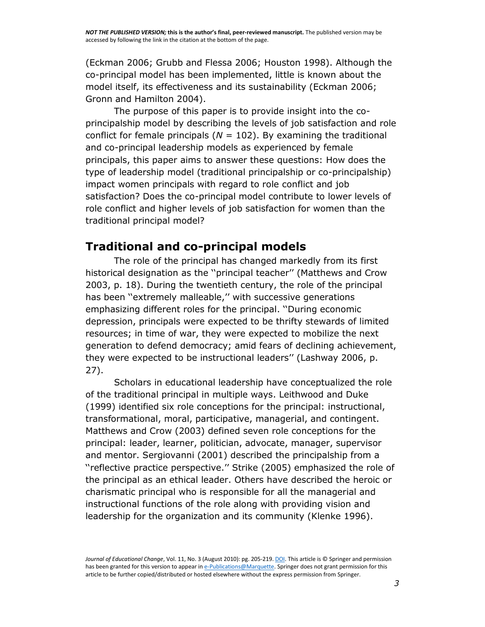(Eckman 2006; Grubb and Flessa 2006; Houston 1998). Although the co-principal model has been implemented, little is known about the model itself, its effectiveness and its sustainability (Eckman 2006; Gronn and Hamilton 2004).

The purpose of this paper is to provide insight into the coprincipalship model by describing the levels of job satisfaction and role conflict for female principals  $(N = 102)$ . By examining the traditional and co-principal leadership models as experienced by female principals, this paper aims to answer these questions: How does the type of leadership model (traditional principalship or co-principalship) impact women principals with regard to role conflict and job satisfaction? Does the co-principal model contribute to lower levels of role conflict and higher levels of job satisfaction for women than the traditional principal model?

# **Traditional and co-principal models**

The role of the principal has changed markedly from its first historical designation as the ''principal teacher'' (Matthews and Crow 2003, p. 18). During the twentieth century, the role of the principal has been ''extremely malleable,'' with successive generations emphasizing different roles for the principal. ''During economic depression, principals were expected to be thrifty stewards of limited resources; in time of war, they were expected to mobilize the next generation to defend democracy; amid fears of declining achievement, they were expected to be instructional leaders'' (Lashway 2006, p. 27).

Scholars in educational leadership have conceptualized the role of the traditional principal in multiple ways. Leithwood and Duke (1999) identified six role conceptions for the principal: instructional, transformational, moral, participative, managerial, and contingent. Matthews and Crow (2003) defined seven role conceptions for the principal: leader, learner, politician, advocate, manager, supervisor and mentor. Sergiovanni (2001) described the principalship from a ''reflective practice perspective.'' Strike (2005) emphasized the role of the principal as an ethical leader. Others have described the heroic or charismatic principal who is responsible for all the managerial and instructional functions of the role along with providing vision and leadership for the organization and its community (Klenke 1996).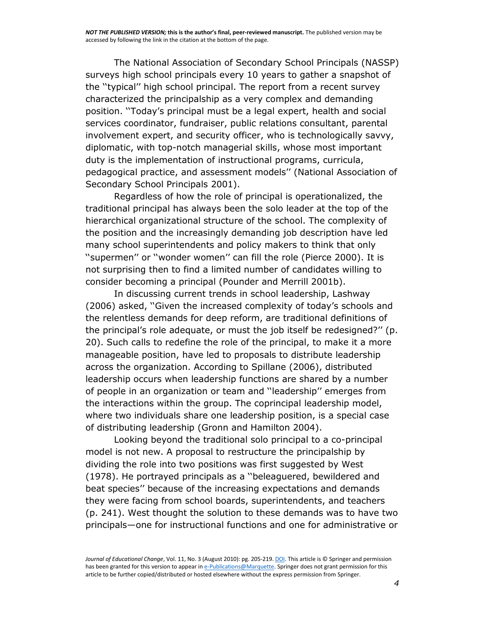The National Association of Secondary School Principals (NASSP) surveys high school principals every 10 years to gather a snapshot of the ''typical'' high school principal. The report from a recent survey characterized the principalship as a very complex and demanding position. ''Today's principal must be a legal expert, health and social services coordinator, fundraiser, public relations consultant, parental involvement expert, and security officer, who is technologically savvy, diplomatic, with top-notch managerial skills, whose most important duty is the implementation of instructional programs, curricula, pedagogical practice, and assessment models'' (National Association of Secondary School Principals 2001).

Regardless of how the role of principal is operationalized, the traditional principal has always been the solo leader at the top of the hierarchical organizational structure of the school. The complexity of the position and the increasingly demanding job description have led many school superintendents and policy makers to think that only ''supermen'' or ''wonder women'' can fill the role (Pierce 2000). It is not surprising then to find a limited number of candidates willing to consider becoming a principal (Pounder and Merrill 2001b).

In discussing current trends in school leadership, Lashway (2006) asked, ''Given the increased complexity of today's schools and the relentless demands for deep reform, are traditional definitions of the principal's role adequate, or must the job itself be redesigned?'' (p. 20). Such calls to redefine the role of the principal, to make it a more manageable position, have led to proposals to distribute leadership across the organization. According to Spillane (2006), distributed leadership occurs when leadership functions are shared by a number of people in an organization or team and ''leadership'' emerges from the interactions within the group. The coprincipal leadership model, where two individuals share one leadership position, is a special case of distributing leadership (Gronn and Hamilton 2004).

Looking beyond the traditional solo principal to a co-principal model is not new. A proposal to restructure the principalship by dividing the role into two positions was first suggested by West (1978). He portrayed principals as a ''beleaguered, bewildered and beat species'' because of the increasing expectations and demands they were facing from school boards, superintendents, and teachers (p. 241). West thought the solution to these demands was to have two principals—one for instructional functions and one for administrative or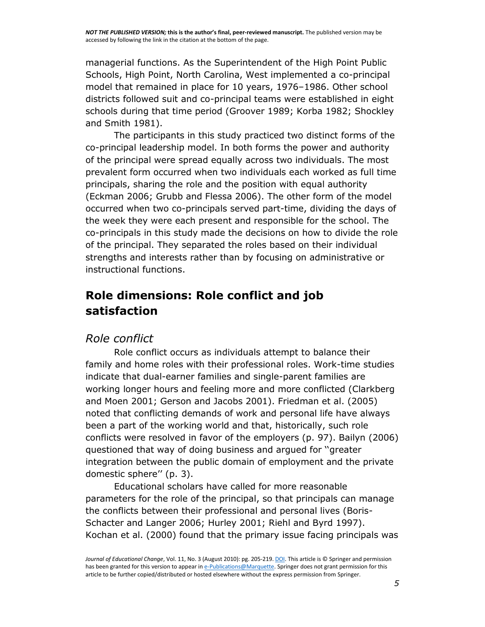managerial functions. As the Superintendent of the High Point Public Schools, High Point, North Carolina, West implemented a co-principal model that remained in place for 10 years, 1976–1986. Other school districts followed suit and co-principal teams were established in eight schools during that time period (Groover 1989; Korba 1982; Shockley and Smith 1981).

The participants in this study practiced two distinct forms of the co-principal leadership model. In both forms the power and authority of the principal were spread equally across two individuals. The most prevalent form occurred when two individuals each worked as full time principals, sharing the role and the position with equal authority (Eckman 2006; Grubb and Flessa 2006). The other form of the model occurred when two co-principals served part-time, dividing the days of the week they were each present and responsible for the school. The co-principals in this study made the decisions on how to divide the role of the principal. They separated the roles based on their individual strengths and interests rather than by focusing on administrative or instructional functions.

# **Role dimensions: Role conflict and job satisfaction**

#### *Role conflict*

Role conflict occurs as individuals attempt to balance their family and home roles with their professional roles. Work-time studies indicate that dual-earner families and single-parent families are working longer hours and feeling more and more conflicted (Clarkberg and Moen 2001; Gerson and Jacobs 2001). Friedman et al. (2005) noted that conflicting demands of work and personal life have always been a part of the working world and that, historically, such role conflicts were resolved in favor of the employers (p. 97). Bailyn (2006) questioned that way of doing business and argued for ''greater integration between the public domain of employment and the private domestic sphere'' (p. 3).

Educational scholars have called for more reasonable parameters for the role of the principal, so that principals can manage the conflicts between their professional and personal lives (Boris-Schacter and Langer 2006; Hurley 2001; Riehl and Byrd 1997). Kochan et al. (2000) found that the primary issue facing principals was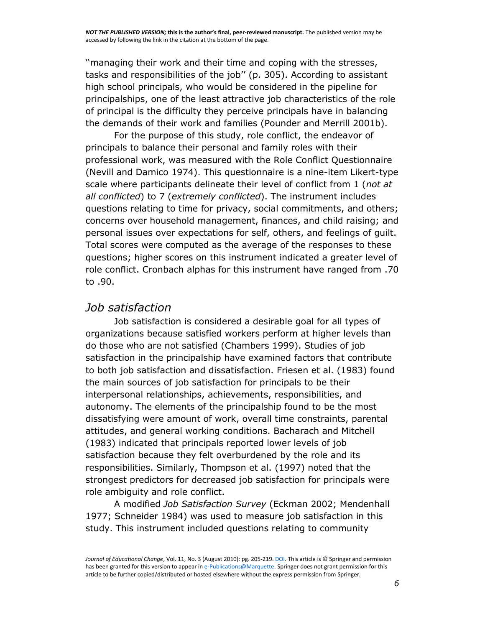''managing their work and their time and coping with the stresses, tasks and responsibilities of the job'' (p. 305). According to assistant high school principals, who would be considered in the pipeline for principalships, one of the least attractive job characteristics of the role of principal is the difficulty they perceive principals have in balancing the demands of their work and families (Pounder and Merrill 2001b).

For the purpose of this study, role conflict, the endeavor of principals to balance their personal and family roles with their professional work, was measured with the Role Conflict Questionnaire (Nevill and Damico 1974). This questionnaire is a nine-item Likert-type scale where participants delineate their level of conflict from 1 (*not at all conflicted*) to 7 (*extremely conflicted*). The instrument includes questions relating to time for privacy, social commitments, and others; concerns over household management, finances, and child raising; and personal issues over expectations for self, others, and feelings of guilt. Total scores were computed as the average of the responses to these questions; higher scores on this instrument indicated a greater level of role conflict. Cronbach alphas for this instrument have ranged from .70 to .90.

#### *Job satisfaction*

Job satisfaction is considered a desirable goal for all types of organizations because satisfied workers perform at higher levels than do those who are not satisfied (Chambers 1999). Studies of job satisfaction in the principalship have examined factors that contribute to both job satisfaction and dissatisfaction. Friesen et al. (1983) found the main sources of job satisfaction for principals to be their interpersonal relationships, achievements, responsibilities, and autonomy. The elements of the principalship found to be the most dissatisfying were amount of work, overall time constraints, parental attitudes, and general working conditions. Bacharach and Mitchell (1983) indicated that principals reported lower levels of job satisfaction because they felt overburdened by the role and its responsibilities. Similarly, Thompson et al. (1997) noted that the strongest predictors for decreased job satisfaction for principals were role ambiguity and role conflict.

A modified *Job Satisfaction Survey* (Eckman 2002; Mendenhall 1977; Schneider 1984) was used to measure job satisfaction in this study. This instrument included questions relating to community

*Journal of Educational Change*, Vol. 11, No. 3 (August 2010): pg. 205-219[. DOI.](http://dx.doi.org/10.1007/s10833-009-9116-z) This article is © Springer and permission has been granted for this version to appear i[n e-Publications@Marquette.](http://epublications.marquette.edu/) Springer does not grant permission for this article to be further copied/distributed or hosted elsewhere without the express permission from Springer.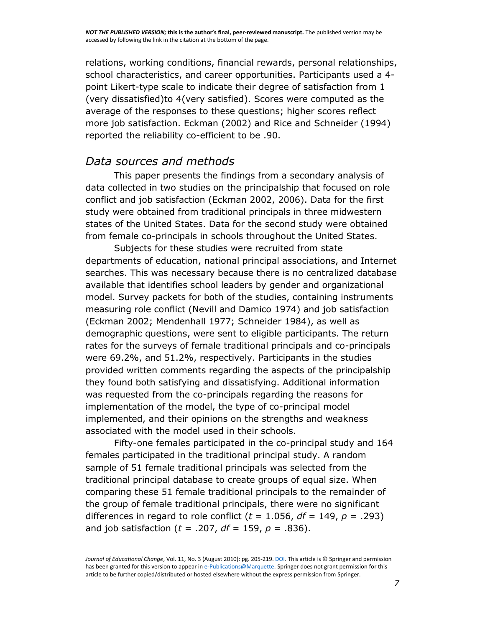relations, working conditions, financial rewards, personal relationships, school characteristics, and career opportunities. Participants used a 4 point Likert-type scale to indicate their degree of satisfaction from 1 (very dissatisfied)to 4(very satisfied). Scores were computed as the average of the responses to these questions; higher scores reflect more job satisfaction. Eckman (2002) and Rice and Schneider (1994) reported the reliability co-efficient to be .90.

#### *Data sources and methods*

This paper presents the findings from a secondary analysis of data collected in two studies on the principalship that focused on role conflict and job satisfaction (Eckman 2002, 2006). Data for the first study were obtained from traditional principals in three midwestern states of the United States. Data for the second study were obtained from female co-principals in schools throughout the United States.

Subjects for these studies were recruited from state departments of education, national principal associations, and Internet searches. This was necessary because there is no centralized database available that identifies school leaders by gender and organizational model. Survey packets for both of the studies, containing instruments measuring role conflict (Nevill and Damico 1974) and job satisfaction (Eckman 2002; Mendenhall 1977; Schneider 1984), as well as demographic questions, were sent to eligible participants. The return rates for the surveys of female traditional principals and co-principals were 69.2%, and 51.2%, respectively. Participants in the studies provided written comments regarding the aspects of the principalship they found both satisfying and dissatisfying. Additional information was requested from the co-principals regarding the reasons for implementation of the model, the type of co-principal model implemented, and their opinions on the strengths and weakness associated with the model used in their schools.

Fifty-one females participated in the co-principal study and 164 females participated in the traditional principal study. A random sample of 51 female traditional principals was selected from the traditional principal database to create groups of equal size. When comparing these 51 female traditional principals to the remainder of the group of female traditional principals, there were no significant differences in regard to role conflict  $(t = 1.056, df = 149, p = .293)$ and job satisfaction (*t* = .207, *df* = 159, *p* = .836).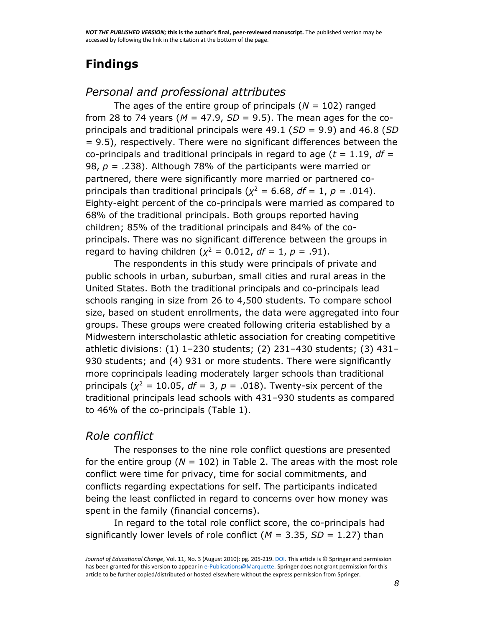# **Findings**

## *Personal and professional attributes*

The ages of the entire group of principals (*N* = 102) ranged from 28 to 74 years ( $M = 47.9$ ,  $SD = 9.5$ ). The mean ages for the coprincipals and traditional principals were 49.1 (*SD* = 9.9) and 46.8 (*SD*   $= 9.5$ ), respectively. There were no significant differences between the co-principals and traditional principals in regard to age  $(t = 1.19, df =$ 98, *p* = .238). Although 78% of the participants were married or partnered, there were significantly more married or partnered coprincipals than traditional principals ( $\chi^2$  = 6.68,  $df = 1$ ,  $p = .014$ ). Eighty-eight percent of the co-principals were married as compared to 68% of the traditional principals. Both groups reported having children; 85% of the traditional principals and 84% of the coprincipals. There was no significant difference between the groups in regard to having children ( $χ^2 = 0.012$ ,  $df = 1$ ,  $p = .91$ ).

The respondents in this study were principals of private and public schools in urban, suburban, small cities and rural areas in the United States. Both the traditional principals and co-principals lead schools ranging in size from 26 to 4,500 students. To compare school size, based on student enrollments, the data were aggregated into four groups. These groups were created following criteria established by a Midwestern interscholastic athletic association for creating competitive athletic divisions: (1) 1–230 students; (2) 231–430 students; (3) 431– 930 students; and (4) 931 or more students. There were significantly more coprincipals leading moderately larger schools than traditional principals ( $\chi^2$  = 10.05,  $df = 3$ ,  $p = .018$ ). Twenty-six percent of the traditional principals lead schools with 431–930 students as compared to 46% of the co-principals (Table 1).

## *Role conflict*

The responses to the nine role conflict questions are presented for the entire group (*N* = 102) in Table 2. The areas with the most role conflict were time for privacy, time for social commitments, and conflicts regarding expectations for self. The participants indicated being the least conflicted in regard to concerns over how money was spent in the family (financial concerns).

In regard to the total role conflict score, the co-principals had significantly lower levels of role conflict (*M* = 3.35, *SD* = 1.27) than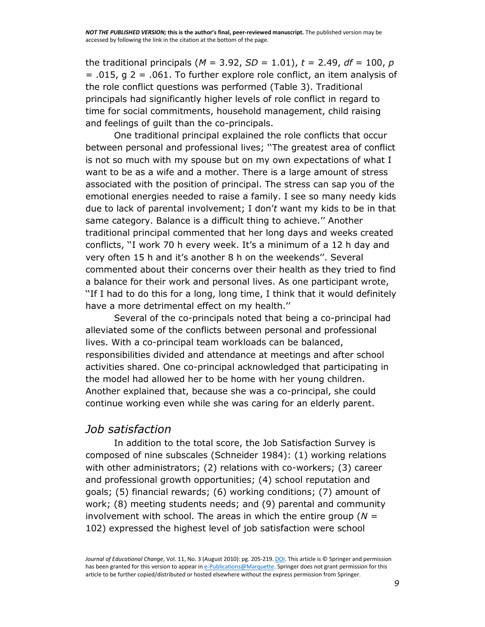the traditional principals (*M* = 3.92, *SD* = 1.01), *t* = 2.49, *df* = 100, *p*   $= .015$ , g  $2 = .061$ . To further explore role conflict, an item analysis of the role conflict questions was performed (Table 3). Traditional principals had significantly higher levels of role conflict in regard to time for social commitments, household management, child raising and feelings of guilt than the co-principals.

One traditional principal explained the role conflicts that occur between personal and professional lives; ''The greatest area of conflict is not so much with my spouse but on my own expectations of what I want to be as a wife and a mother. There is a large amount of stress associated with the position of principal. The stress can sap you of the emotional energies needed to raise a family. I see so many needy kids due to lack of parental involvement; I don'*t* want my kids to be in that same category. Balance is a difficult thing to achieve.'' Another traditional principal commented that her long days and weeks created conflicts, ''I work 70 h every week. It's a minimum of a 12 h day and very often 15 h and it's another 8 h on the weekends''. Several commented about their concerns over their health as they tried to find a balance for their work and personal lives. As one participant wrote, ''If I had to do this for a long, long time, I think that it would definitely have a more detrimental effect on my health.''

Several of the co-principals noted that being a co-principal had alleviated some of the conflicts between personal and professional lives. With a co-principal team workloads can be balanced, responsibilities divided and attendance at meetings and after school activities shared. One co-principal acknowledged that participating in the model had allowed her to be home with her young children. Another explained that, because she was a co-principal, she could continue working even while she was caring for an elderly parent.

#### *Job satisfaction*

In addition to the total score, the Job Satisfaction Survey is composed of nine subscales (Schneider 1984): (1) working relations with other administrators; (2) relations with co-workers; (3) career and professional growth opportunities; (4) school reputation and goals; (5) financial rewards; (6) working conditions; (7) amount of work; (8) meeting students needs; and (9) parental and community involvement with school. The areas in which the entire group (*N* = 102) expressed the highest level of job satisfaction were school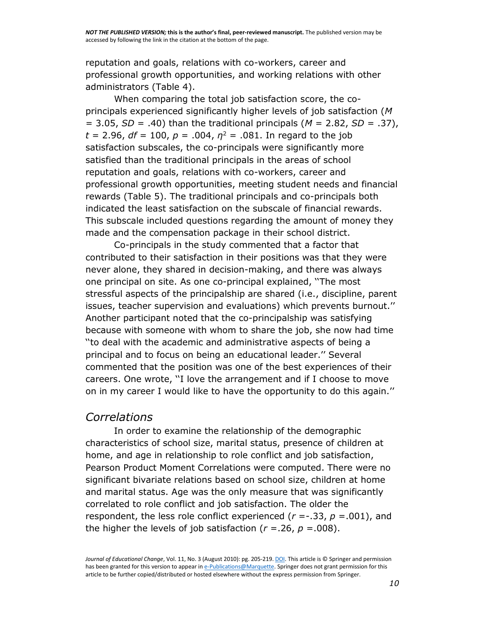reputation and goals, relations with co-workers, career and professional growth opportunities, and working relations with other administrators (Table 4).

When comparing the total job satisfaction score, the coprincipals experienced significantly higher levels of job satisfaction (*M*  = 3.05, *SD* = .40) than the traditional principals (*M* = 2.82, *SD* = .37),  $t = 2.96$ ,  $df = 100$ ,  $p = .004$ ,  $\eta^2 = .081$ . In regard to the job satisfaction subscales, the co-principals were significantly more satisfied than the traditional principals in the areas of school reputation and goals, relations with co-workers, career and professional growth opportunities, meeting student needs and financial rewards (Table 5). The traditional principals and co-principals both indicated the least satisfaction on the subscale of financial rewards. This subscale included questions regarding the amount of money they made and the compensation package in their school district.

Co-principals in the study commented that a factor that contributed to their satisfaction in their positions was that they were never alone, they shared in decision-making, and there was always one principal on site. As one co-principal explained, ''The most stressful aspects of the principalship are shared (i.e., discipline, parent issues, teacher supervision and evaluations) which prevents burnout.'' Another participant noted that the co-principalship was satisfying because with someone with whom to share the job, she now had time ''to deal with the academic and administrative aspects of being a principal and to focus on being an educational leader.'' Several commented that the position was one of the best experiences of their careers. One wrote, ''I love the arrangement and if I choose to move on in my career I would like to have the opportunity to do this again.''

#### *Correlations*

In order to examine the relationship of the demographic characteristics of school size, marital status, presence of children at home, and age in relationship to role conflict and job satisfaction, Pearson Product Moment Correlations were computed. There were no significant bivariate relations based on school size, children at home and marital status. Age was the only measure that was significantly correlated to role conflict and job satisfaction. The older the respondent, the less role conflict experienced (*r* =-.33, *p* =.001), and the higher the levels of job satisfaction  $(r = .26, p = .008)$ .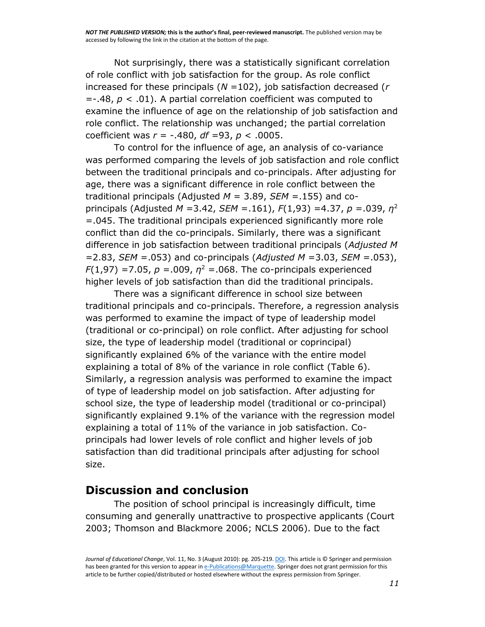Not surprisingly, there was a statistically significant correlation of role conflict with job satisfaction for the group. As role conflict increased for these principals (*N* =102), job satisfaction decreased (*r*  =-.48, *p* < .01). A partial correlation coefficient was computed to examine the influence of age on the relationship of job satisfaction and role conflict. The relationship was unchanged; the partial correlation coefficient was *r* = -.480, *df* =93, *p* < .0005.

To control for the influence of age, an analysis of co-variance was performed comparing the levels of job satisfaction and role conflict between the traditional principals and co-principals. After adjusting for age, there was a significant difference in role conflict between the traditional principals (Adjusted *M* = 3.89, *SEM* =.155) and coprincipals (Adjusted *M* =3.42, *SEM* =.161), *F*(1,93) =4.37, *p* =.039, *η* 2 =.045. The traditional principals experienced significantly more role conflict than did the co-principals. Similarly, there was a significant difference in job satisfaction between traditional principals (*Adjusted M*  =2.83, *SEM* =.053) and co-principals (*Adjusted M* =3.03, *SEM* =.053), *F*(1,97) = 7.05,  $p = .009$ ,  $q^2 = .068$ . The co-principals experienced higher levels of job satisfaction than did the traditional principals.

There was a significant difference in school size between traditional principals and co-principals. Therefore, a regression analysis was performed to examine the impact of type of leadership model (traditional or co-principal) on role conflict. After adjusting for school size, the type of leadership model (traditional or coprincipal) significantly explained 6% of the variance with the entire model explaining a total of 8% of the variance in role conflict (Table 6). Similarly, a regression analysis was performed to examine the impact of type of leadership model on job satisfaction. After adjusting for school size, the type of leadership model (traditional or co-principal) significantly explained 9.1% of the variance with the regression model explaining a total of 11% of the variance in job satisfaction. Coprincipals had lower levels of role conflict and higher levels of job satisfaction than did traditional principals after adjusting for school size.

#### **Discussion and conclusion**

The position of school principal is increasingly difficult, time consuming and generally unattractive to prospective applicants (Court 2003; Thomson and Blackmore 2006; NCLS 2006). Due to the fact

*Journal of Educational Change*, Vol. 11, No. 3 (August 2010): pg. 205-219[. DOI.](http://dx.doi.org/10.1007/s10833-009-9116-z) This article is © Springer and permission has been granted for this version to appear i[n e-Publications@Marquette.](http://epublications.marquette.edu/) Springer does not grant permission for this article to be further copied/distributed or hosted elsewhere without the express permission from Springer.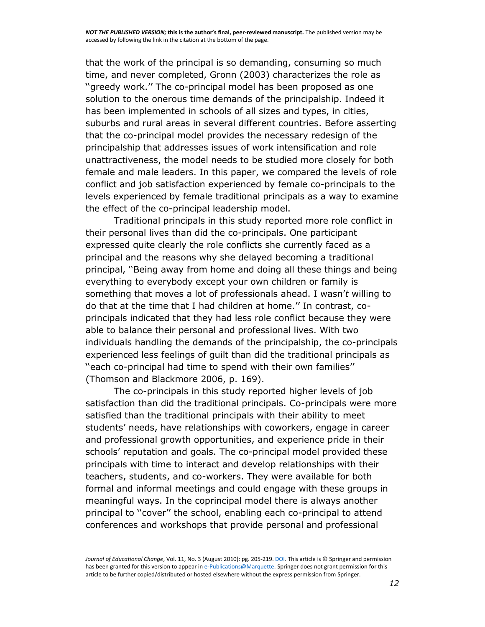that the work of the principal is so demanding, consuming so much time, and never completed, Gronn (2003) characterizes the role as ''greedy work.'' The co-principal model has been proposed as one solution to the onerous time demands of the principalship. Indeed it has been implemented in schools of all sizes and types, in cities, suburbs and rural areas in several different countries. Before asserting that the co-principal model provides the necessary redesign of the principalship that addresses issues of work intensification and role unattractiveness, the model needs to be studied more closely for both female and male leaders. In this paper, we compared the levels of role conflict and job satisfaction experienced by female co-principals to the levels experienced by female traditional principals as a way to examine the effect of the co-principal leadership model.

Traditional principals in this study reported more role conflict in their personal lives than did the co-principals. One participant expressed quite clearly the role conflicts she currently faced as a principal and the reasons why she delayed becoming a traditional principal, ''Being away from home and doing all these things and being everything to everybody except your own children or family is something that moves a lot of professionals ahead. I wasn'*t* willing to do that at the time that I had children at home.'' In contrast, coprincipals indicated that they had less role conflict because they were able to balance their personal and professional lives. With two individuals handling the demands of the principalship, the co-principals experienced less feelings of guilt than did the traditional principals as ''each co-principal had time to spend with their own families'' (Thomson and Blackmore 2006, p. 169).

The co-principals in this study reported higher levels of job satisfaction than did the traditional principals. Co-principals were more satisfied than the traditional principals with their ability to meet students' needs, have relationships with coworkers, engage in career and professional growth opportunities, and experience pride in their schools' reputation and goals. The co-principal model provided these principals with time to interact and develop relationships with their teachers, students, and co-workers. They were available for both formal and informal meetings and could engage with these groups in meaningful ways. In the coprincipal model there is always another principal to ''cover'' the school, enabling each co-principal to attend conferences and workshops that provide personal and professional

*Journal of Educational Change*, Vol. 11, No. 3 (August 2010): pg. 205-219[. DOI.](http://dx.doi.org/10.1007/s10833-009-9116-z) This article is © Springer and permission has been granted for this version to appear i[n e-Publications@Marquette.](http://epublications.marquette.edu/) Springer does not grant permission for this article to be further copied/distributed or hosted elsewhere without the express permission from Springer.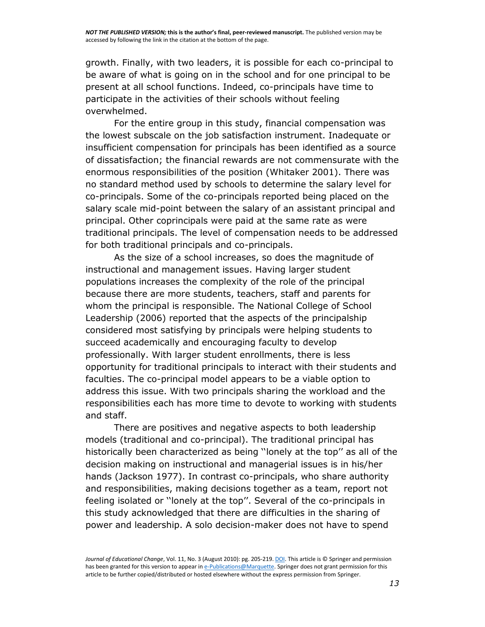growth. Finally, with two leaders, it is possible for each co-principal to be aware of what is going on in the school and for one principal to be present at all school functions. Indeed, co-principals have time to participate in the activities of their schools without feeling overwhelmed.

For the entire group in this study, financial compensation was the lowest subscale on the job satisfaction instrument. Inadequate or insufficient compensation for principals has been identified as a source of dissatisfaction; the financial rewards are not commensurate with the enormous responsibilities of the position (Whitaker 2001). There was no standard method used by schools to determine the salary level for co-principals. Some of the co-principals reported being placed on the salary scale mid-point between the salary of an assistant principal and principal. Other coprincipals were paid at the same rate as were traditional principals. The level of compensation needs to be addressed for both traditional principals and co-principals.

As the size of a school increases, so does the magnitude of instructional and management issues. Having larger student populations increases the complexity of the role of the principal because there are more students, teachers, staff and parents for whom the principal is responsible. The National College of School Leadership (2006) reported that the aspects of the principalship considered most satisfying by principals were helping students to succeed academically and encouraging faculty to develop professionally. With larger student enrollments, there is less opportunity for traditional principals to interact with their students and faculties. The co-principal model appears to be a viable option to address this issue. With two principals sharing the workload and the responsibilities each has more time to devote to working with students and staff.

There are positives and negative aspects to both leadership models (traditional and co-principal). The traditional principal has historically been characterized as being ''lonely at the top'' as all of the decision making on instructional and managerial issues is in his/her hands (Jackson 1977). In contrast co-principals, who share authority and responsibilities, making decisions together as a team, report not feeling isolated or ''lonely at the top''. Several of the co-principals in this study acknowledged that there are difficulties in the sharing of power and leadership. A solo decision-maker does not have to spend

*Journal of Educational Change*, Vol. 11, No. 3 (August 2010): pg. 205-219[. DOI.](http://dx.doi.org/10.1007/s10833-009-9116-z) This article is © Springer and permission has been granted for this version to appear i[n e-Publications@Marquette.](http://epublications.marquette.edu/) Springer does not grant permission for this article to be further copied/distributed or hosted elsewhere without the express permission from Springer.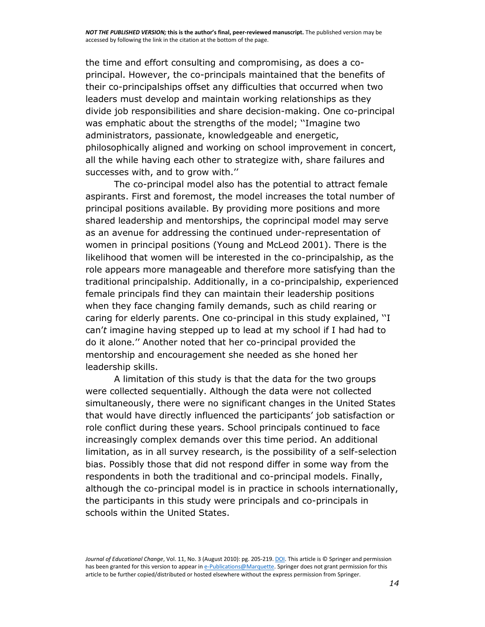the time and effort consulting and compromising, as does a coprincipal. However, the co-principals maintained that the benefits of their co-principalships offset any difficulties that occurred when two leaders must develop and maintain working relationships as they divide job responsibilities and share decision-making. One co-principal was emphatic about the strengths of the model; ''Imagine two administrators, passionate, knowledgeable and energetic, philosophically aligned and working on school improvement in concert, all the while having each other to strategize with, share failures and successes with, and to grow with.''

The co-principal model also has the potential to attract female aspirants. First and foremost, the model increases the total number of principal positions available. By providing more positions and more shared leadership and mentorships, the coprincipal model may serve as an avenue for addressing the continued under-representation of women in principal positions (Young and McLeod 2001). There is the likelihood that women will be interested in the co-principalship, as the role appears more manageable and therefore more satisfying than the traditional principalship. Additionally, in a co-principalship, experienced female principals find they can maintain their leadership positions when they face changing family demands, such as child rearing or caring for elderly parents. One co-principal in this study explained, ''I can'*t* imagine having stepped up to lead at my school if I had had to do it alone.'' Another noted that her co-principal provided the mentorship and encouragement she needed as she honed her leadership skills.

A limitation of this study is that the data for the two groups were collected sequentially. Although the data were not collected simultaneously, there were no significant changes in the United States that would have directly influenced the participants' job satisfaction or role conflict during these years. School principals continued to face increasingly complex demands over this time period. An additional limitation, as in all survey research, is the possibility of a self-selection bias. Possibly those that did not respond differ in some way from the respondents in both the traditional and co-principal models. Finally, although the co-principal model is in practice in schools internationally, the participants in this study were principals and co-principals in schools within the United States.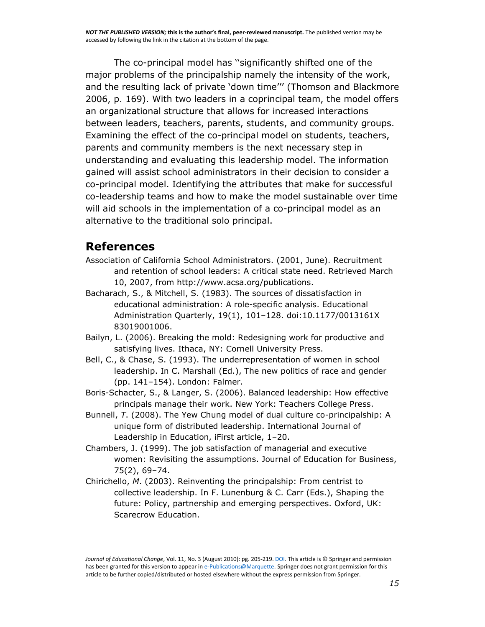The co-principal model has ''significantly shifted one of the major problems of the principalship namely the intensity of the work, and the resulting lack of private 'down time''' (Thomson and Blackmore 2006, p. 169). With two leaders in a coprincipal team, the model offers an organizational structure that allows for increased interactions between leaders, teachers, parents, students, and community groups. Examining the effect of the co-principal model on students, teachers, parents and community members is the next necessary step in understanding and evaluating this leadership model. The information gained will assist school administrators in their decision to consider a co-principal model. Identifying the attributes that make for successful co-leadership teams and how to make the model sustainable over time will aid schools in the implementation of a co-principal model as an alternative to the traditional solo principal.

## **References**

- Association of California School Administrators. (2001, June). Recruitment and retention of school leaders: A critical state need. Retrieved March 10, 2007, from http://www.acsa.org/publications.
- Bacharach, S., & Mitchell, S. (1983). The sources of dissatisfaction in educational administration: A role-specific analysis. Educational Administration Quarterly, 19(1), 101–128. doi:10.1177/0013161X 83019001006.
- Bailyn, L. (2006). Breaking the mold: Redesigning work for productive and satisfying lives. Ithaca, NY: Cornell University Press.
- Bell, C., & Chase, S. (1993). The underrepresentation of women in school leadership. In C. Marshall (Ed.), The new politics of race and gender (pp. 141–154). London: Falmer.
- Boris-Schacter, S., & Langer, S. (2006). Balanced leadership: How effective principals manage their work. New York: Teachers College Press.
- Bunnell, *T*. (2008). The Yew Chung model of dual culture co-principalship: A unique form of distributed leadership. International Journal of Leadership in Education, iFirst article, 1–20.
- Chambers, J. (1999). The job satisfaction of managerial and executive women: Revisiting the assumptions. Journal of Education for Business, 75(2), 69–74.
- Chirichello, *M*. (2003). Reinventing the principalship: From centrist to collective leadership. In F. Lunenburg & C. Carr (Eds.), Shaping the future: Policy, partnership and emerging perspectives. Oxford, UK: Scarecrow Education.

*Journal of Educational Change*, Vol. 11, No. 3 (August 2010): pg. 205-219[. DOI.](http://dx.doi.org/10.1007/s10833-009-9116-z) This article is © Springer and permission has been granted for this version to appear i[n e-Publications@Marquette.](http://epublications.marquette.edu/) Springer does not grant permission for this article to be further copied/distributed or hosted elsewhere without the express permission from Springer.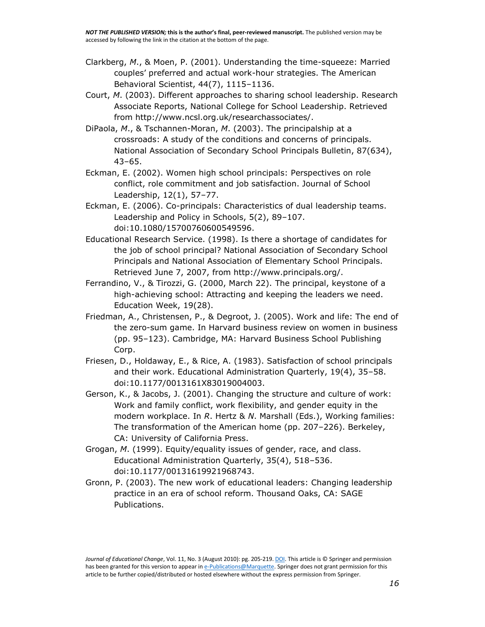- Clarkberg, *M*., & Moen, P. (2001). Understanding the time-squeeze: Married couples' preferred and actual work-hour strategies. The American Behavioral Scientist, 44(7), 1115–1136.
- Court, *M*. (2003). Different approaches to sharing school leadership. Research Associate Reports, National College for School Leadership. Retrieved from http://www.ncsl.org.uk/researchassociates/.
- DiPaola, *M*., & Tschannen-Moran, *M*. (2003). The principalship at a crossroads: A study of the conditions and concerns of principals. National Association of Secondary School Principals Bulletin, 87(634), 43–65.
- Eckman, E. (2002). Women high school principals: Perspectives on role conflict, role commitment and job satisfaction. Journal of School Leadership, 12(1), 57–77.
- Eckman, E. (2006). Co-principals: Characteristics of dual leadership teams. Leadership and Policy in Schools, 5(2), 89–107. doi:10.1080/15700760600549596.
- Educational Research Service. (1998). Is there a shortage of candidates for the job of school principal? National Association of Secondary School Principals and National Association of Elementary School Principals. Retrieved June 7, 2007, from http://www.principals.org/.
- Ferrandino, V., & Tirozzi, G. (2000, March 22). The principal, keystone of a high-achieving school: Attracting and keeping the leaders we need. Education Week, 19(28).
- Friedman, A., Christensen, P., & Degroot, J. (2005). Work and life: The end of the zero-sum game. In Harvard business review on women in business (pp. 95–123). Cambridge, MA: Harvard Business School Publishing Corp.
- Friesen, D., Holdaway, E., & Rice, A. (1983). Satisfaction of school principals and their work. Educational Administration Quarterly, 19(4), 35–58. doi:10.1177/0013161X83019004003.
- Gerson, K., & Jacobs, J. (2001). Changing the structure and culture of work: Work and family conflict, work flexibility, and gender equity in the modern workplace. In *R*. Hertz & *N*. Marshall (Eds.), Working families: The transformation of the American home (pp. 207–226). Berkeley, CA: University of California Press.
- Grogan, *M*. (1999). Equity/equality issues of gender, race, and class. Educational Administration Quarterly, 35(4), 518–536. doi:10.1177/00131619921968743.
- Gronn, P. (2003). The new work of educational leaders: Changing leadership practice in an era of school reform. Thousand Oaks, CA: SAGE Publications.

*Journal of Educational Change*, Vol. 11, No. 3 (August 2010): pg. 205-219[. DOI.](http://dx.doi.org/10.1007/s10833-009-9116-z) This article is © Springer and permission has been granted for this version to appear i[n e-Publications@Marquette.](http://epublications.marquette.edu/) Springer does not grant permission for this article to be further copied/distributed or hosted elsewhere without the express permission from Springer.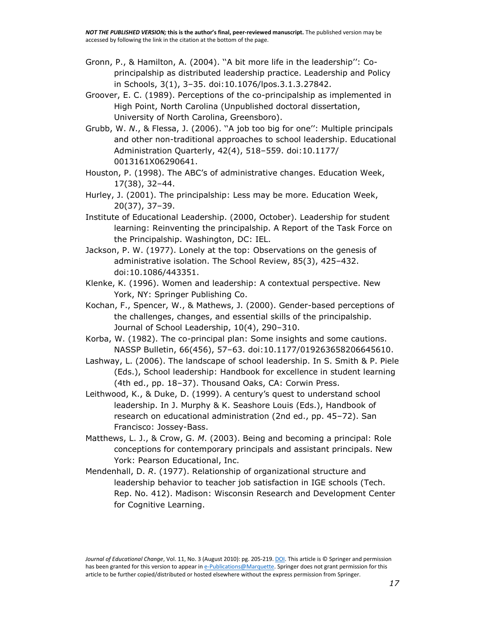- Gronn, P., & Hamilton, A. (2004). ''A bit more life in the leadership'': Coprincipalship as distributed leadership practice. Leadership and Policy in Schools, 3(1), 3–35. doi:10.1076/lpos.3.1.3.27842.
- Groover, E. C. (1989). Perceptions of the co-principalship as implemented in High Point, North Carolina (Unpublished doctoral dissertation, University of North Carolina, Greensboro).
- Grubb, W. *N*., & Flessa, J. (2006). ''A job too big for one'': Multiple principals and other non-traditional approaches to school leadership. Educational Administration Quarterly, 42(4), 518–559. doi:10.1177/ 0013161X06290641.
- Houston, P. (1998). The ABC's of administrative changes. Education Week, 17(38), 32–44.
- Hurley, J. (2001). The principalship: Less may be more. Education Week, 20(37), 37–39.
- Institute of Educational Leadership. (2000, October). Leadership for student learning: Reinventing the principalship. A Report of the Task Force on the Principalship. Washington, DC: IEL.
- Jackson, P. W. (1977). Lonely at the top: Observations on the genesis of administrative isolation. The School Review, 85(3), 425–432. doi:10.1086/443351.
- Klenke, K. (1996). Women and leadership: A contextual perspective. New York, NY: Springer Publishing Co.
- Kochan, F., Spencer, W., & Mathews, J. (2000). Gender-based perceptions of the challenges, changes, and essential skills of the principalship. Journal of School Leadership, 10(4), 290–310.
- Korba, W. (1982). The co-principal plan: Some insights and some cautions. NASSP Bulletin, 66(456), 57–63. doi:10.1177/019263658206645610.
- Lashway, L. (2006). The landscape of school leadership. In S. Smith & P. Piele (Eds.), School leadership: Handbook for excellence in student learning (4th ed., pp. 18–37). Thousand Oaks, CA: Corwin Press.
- Leithwood, K., & Duke, D. (1999). A century's quest to understand school leadership. In J. Murphy & K. Seashore Louis (Eds.), Handbook of research on educational administration (2nd ed., pp. 45–72). San Francisco: Jossey-Bass.
- Matthews, L. J., & Crow, G. *M*. (2003). Being and becoming a principal: Role conceptions for contemporary principals and assistant principals. New York: Pearson Educational, Inc.
- Mendenhall, D. *R*. (1977). Relationship of organizational structure and leadership behavior to teacher job satisfaction in IGE schools (Tech. Rep. No. 412). Madison: Wisconsin Research and Development Center for Cognitive Learning.

*Journal of Educational Change*, Vol. 11, No. 3 (August 2010): pg. 205-219[. DOI.](http://dx.doi.org/10.1007/s10833-009-9116-z) This article is © Springer and permission has been granted for this version to appear i[n e-Publications@Marquette.](http://epublications.marquette.edu/) Springer does not grant permission for this article to be further copied/distributed or hosted elsewhere without the express permission from Springer.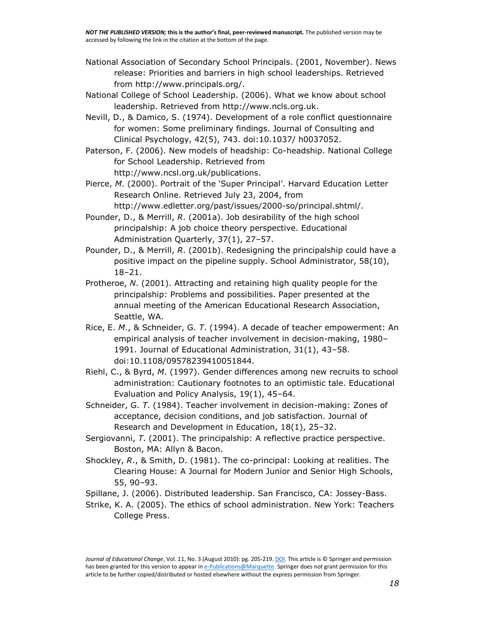- National Association of Secondary School Principals. (2001, November). News release: Priorities and barriers in high school leaderships. Retrieved from http://www.principals.org/.
- National College of School Leadership. (2006). What we know about school leadership. Retrieved from http://www.ncls.org.uk.
- Nevill, D., & Damico, S. (1974). Development of a role conflict questionnaire for women: Some preliminary findings. Journal of Consulting and Clinical Psychology, 42(5), 743. doi:10.1037/ h0037052.
- Paterson, F. (2006). New models of headship: Co-headship. National College for School Leadership. Retrieved from http://www.ncsl.org.uk/publications.
- Pierce, *M*. (2000). Portrait of the 'Super Principal'. Harvard Education Letter Research Online. Retrieved July 23, 2004, from http://www.edletter.org/past/issues/2000-so/principal.shtml/.
- Pounder, D., & Merrill, *R*. (2001a). Job desirability of the high school principalship: A job choice theory perspective. Educational Administration Quarterly, 37(1), 27–57.
- Pounder, D., & Merrill, *R*. (2001b). Redesigning the principalship could have a positive impact on the pipeline supply. School Administrator, 58(10), 18–21.
- Protheroe, *N*. (2001). Attracting and retaining high quality people for the principalship: Problems and possibilities. Paper presented at the annual meeting of the American Educational Research Association, Seattle, WA.
- Rice, E. *M*., & Schneider, G. *T*. (1994). A decade of teacher empowerment: An empirical analysis of teacher involvement in decision-making, 1980– 1991. Journal of Educational Administration, 31(1), 43–58. doi:10.1108/09578239410051844.
- Riehl, C., & Byrd, *M*. (1997). Gender differences among new recruits to school administration: Cautionary footnotes to an optimistic tale. Educational Evaluation and Policy Analysis, 19(1), 45–64.
- Schneider, G. *T*. (1984). Teacher involvement in decision-making: Zones of acceptance, decision conditions, and job satisfaction. Journal of Research and Development in Education, 18(1), 25–32.
- Sergiovanni, *T*. (2001). The principalship: A reflective practice perspective. Boston, MA: Allyn & Bacon.
- Shockley, *R*., & Smith, D. (1981). The co-principal: Looking at realities. The Clearing House: A Journal for Modern Junior and Senior High Schools, 55, 90–93.
- Spillane, J. (2006). Distributed leadership. San Francisco, CA: Jossey-Bass.
- Strike, K. A. (2005). The ethics of school administration. New York: Teachers College Press.

*Journal of Educational Change*, Vol. 11, No. 3 (August 2010): pg. 205-219[. DOI.](http://dx.doi.org/10.1007/s10833-009-9116-z) This article is © Springer and permission has been granted for this version to appear i[n e-Publications@Marquette.](http://epublications.marquette.edu/) Springer does not grant permission for this article to be further copied/distributed or hosted elsewhere without the express permission from Springer.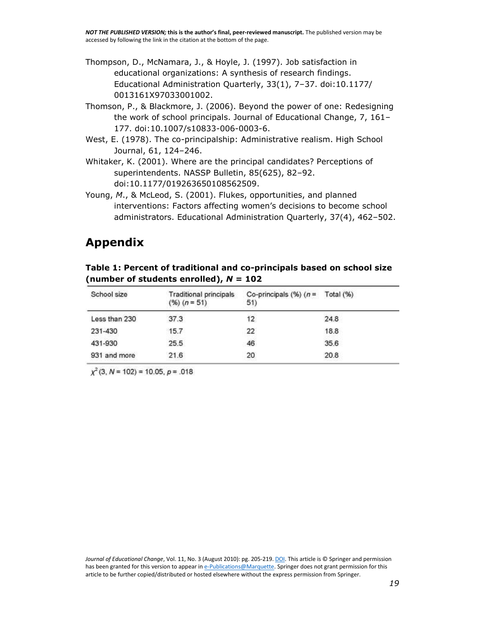- Thompson, D., McNamara, J., & Hoyle, J. (1997). Job satisfaction in educational organizations: A synthesis of research findings. Educational Administration Quarterly, 33(1), 7–37. doi:10.1177/ 0013161X97033001002.
- Thomson, P., & Blackmore, J. (2006). Beyond the power of one: Redesigning the work of school principals. Journal of Educational Change, 7, 161– 177. doi:10.1007/s10833-006-0003-6.
- West, E. (1978). The co-principalship: Administrative realism. High School Journal, 61, 124–246.
- Whitaker, K. (2001). Where are the principal candidates? Perceptions of superintendents. NASSP Bulletin, 85(625), 82–92. doi:10.1177/019263650108562509.
- Young, *M*., & McLeod, S. (2001). Flukes, opportunities, and planned interventions: Factors affecting women's decisions to become school administrators. Educational Administration Quarterly, 37(4), 462–502.

### **Appendix**

#### **Table 1: Percent of traditional and co-principals based on school size (number of students enrolled),** *N* **= 102**

| School size   | <b>Traditional principals</b><br>$(%) (n = 51)$ | Co-principals $(\%)$ ( $n =$<br>51) | Total $(\%)$ |  |
|---------------|-------------------------------------------------|-------------------------------------|--------------|--|
| Less than 230 | 37.3                                            | 12                                  | 24.8         |  |
| 231-430       | 15.7                                            | 22                                  | 18.8         |  |
| 431-930       | 25.5                                            | 46                                  | 35.6         |  |
| 931 and more  | 21.6                                            | 20                                  | 20.8         |  |

 $\chi^2$ (3, N = 102) = 10.05, p = .018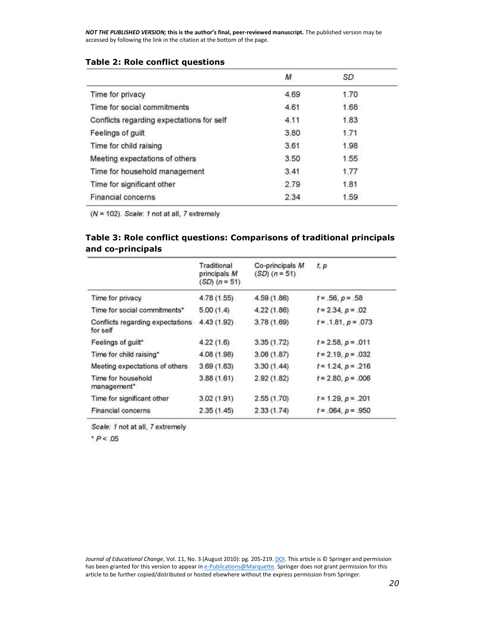#### **Table 2: Role conflict questions**

|                                           | м    | SD   |
|-------------------------------------------|------|------|
| Time for privacy                          | 4.69 | 1.70 |
| Time for social commitments               | 4.61 | 1.68 |
| Conflicts regarding expectations for self | 4.11 | 1.83 |
| Feelings of guilt                         | 3.80 | 1.71 |
| Time for child raising                    | 3.61 | 1.98 |
| Meeting expectations of others            | 3.50 | 1.55 |
| Time for household management             | 3.41 | 1.77 |
| Time for significant other                | 2.79 | 1.81 |
| Financial concerns                        | 2.34 | 1.59 |

 $(N = 102)$ . Scale: 1 not at all, 7 extremely

#### **Table 3: Role conflict questions: Comparisons of traditional principals and co-principals**

|                                              | Traditional<br>Co-principals M<br>$(SD)$ (n = 51)<br>principals M<br>$(SD)$ (n = 51) |            | t, p                    |  |
|----------------------------------------------|--------------------------------------------------------------------------------------|------------|-------------------------|--|
| Time for privacy                             | 4.78 (1.55)                                                                          | 4.59(1.86) | $t = .56, p = .58$      |  |
| Time for social commitments*                 | 5.00(1.4)                                                                            | 4.22(1.86) | $t = 2.34$ , $p = .02$  |  |
| Conflicts regarding expectations<br>for self | 4.43 (1.92)                                                                          | 3.78(1.69) | $t = .1.81, p = .073$   |  |
| Feelings of guilt*                           | 4.22(1.6)                                                                            | 3.35(1.72) | $t = 2.58$ , $p = .011$ |  |
| Time for child raising*                      | 4.08 (1.98)                                                                          | 3.06(1.87) | $t = 2.19$ , $p = .032$ |  |
| Meeting expectations of others               | 3.69(1.63)                                                                           | 3.30(1.44) | $t = 1.24$ , $p = .216$ |  |
| Time for household<br>management*            | 3.88(1.61)                                                                           | 2.92(1.82) | $t = 2.80, p = .006$    |  |
| Time for significant other                   | 3.02(1.91)                                                                           | 2.55(1.70) | $t = 1.29$ , $p = .201$ |  |
| Financial concerns                           | 2.35(1.45)                                                                           | 2.33(1.74) | $t = .064, p = .950$    |  |

Scale: 1 not at all, 7 extremely

 $*P < .05$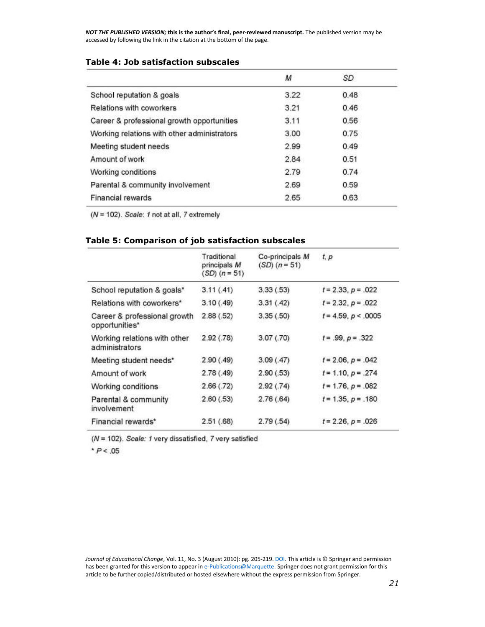#### **Table 4: Job satisfaction subscales**

|                                             | М    | SD.  |
|---------------------------------------------|------|------|
| School reputation & goals                   | 3.22 | 0.48 |
| Relations with coworkers                    | 3.21 | 0.46 |
| Career & professional growth opportunities  | 3.11 | 0.56 |
| Working relations with other administrators | 3.00 | 0.75 |
| Meeting student needs                       | 2.99 | 0.49 |
| Amount of work                              | 2.84 | 0.51 |
| Working conditions                          | 2.79 | 0.74 |
| Parental & community involvement            | 2.69 | 0.59 |
| Financial rewards                           | 2.65 | 0.63 |

 $(N = 102)$ . Scale: 1 not at all, 7 extremely

#### **Table 5: Comparison of job satisfaction subscales**

|                                                | Traditional<br>principals M<br>$(SD)$ (n = 51) | Co-principals M<br>$(SD)$ (n = 51) | t, p                    |
|------------------------------------------------|------------------------------------------------|------------------------------------|-------------------------|
| School reputation & goals*                     | 3.11(.41)                                      | 3.33(.53)                          | $t = 2.33, p = .022$    |
| Relations with coworkers*                      | 3.10(.49)                                      | 3.31(.42)                          | $t = 2.32, p = .022$    |
| Career & professional growth<br>opportunities* | 2.88(.52)                                      | 3.35(.50)                          | $t = 4.59, p < .0005$   |
| Working relations with other<br>administrators | 2.92(.78)                                      | 3.07(.70)                          | $t = .99, p = .322$     |
| Meeting student needs*                         | 2.90(.49)                                      | 3.09(.47)                          | $t = 2.06$ , $p = .042$ |
| Amount of work                                 | 2.78(.49)                                      | 2.90(.53)                          | $t = 1.10, p = .274$    |
| Working conditions                             | 2.66(.72)                                      | 2.92(.74)                          | $t = 1.76$ , $p = .082$ |
| Parental & community<br>involvement            | 2.60(.53)                                      | 2.76(.64)                          | $t = 1.35, p = .180$    |
| Financial rewards*                             | 2.51(.68)                                      | 2.79(.54)                          | $t = 2.26$ , $p = .026$ |

(N = 102). Scale: 1 very dissatisfied, 7 very satisfied

 $*P < .05$